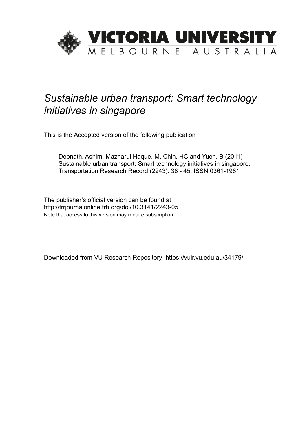

# *Sustainable urban transport: Smart technology initiatives in singapore*

This is the Accepted version of the following publication

Debnath, Ashim, Mazharul Haque, M, Chin, HC and Yuen, B (2011) Sustainable urban transport: Smart technology initiatives in singapore. Transportation Research Record (2243). 38 - 45. ISSN 0361-1981

The publisher's official version can be found at http://trrjournalonline.trb.org/doi/10.3141/2243-05 Note that access to this version may require subscription.

Downloaded from VU Research Repository https://vuir.vu.edu.au/34179/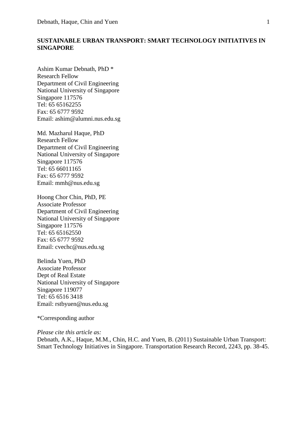# **SUSTAINABLE URBAN TRANSPORT: SMART TECHNOLOGY INITIATIVES IN SINGAPORE**

Ashim Kumar Debnath, PhD \* Research Fellow Department of Civil Engineering National University of Singapore Singapore 117576 Tel: 65 65162255 Fax: 65 6777 9592 Email: ashim@alumni.nus.edu.sg

Md. Mazharul Haque, PhD Research Fellow Department of Civil Engineering National University of Singapore Singapore 117576 Tel: 65 66011165 Fax: 65 6777 9592 Email: mmh@nus.edu.sg

Hoong Chor Chin, PhD, PE Associate Professor Department of Civil Engineering National University of Singapore Singapore 117576 Tel: 65 65162550 Fax: 65 6777 9592 Email: cvechc@nus.edu.sg

Belinda Yuen, PhD Associate Professor Dept of Real Estate National University of Singapore Singapore 119077 Tel: 65 6516 3418 Email: rstbyuen@nus.edu.sg

\*Corresponding author

*Please cite this article as:*

Debnath, A.K., Haque, M.M., Chin, H.C. and Yuen, B. (2011) Sustainable Urban Transport: Smart Technology Initiatives in Singapore. Transportation Research Record, 2243, pp. 38-45.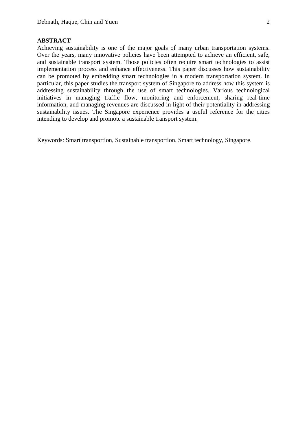## **ABSTRACT**

Achieving sustainability is one of the major goals of many urban transportation systems. Over the years, many innovative policies have been attempted to achieve an efficient, safe, and sustainable transport system. Those policies often require smart technologies to assist implementation process and enhance effectiveness. This paper discusses how sustainability can be promoted by embedding smart technologies in a modern transportation system. In particular, this paper studies the transport system of Singapore to address how this system is addressing sustainability through the use of smart technologies. Various technological initiatives in managing traffic flow, monitoring and enforcement, sharing real-time information, and managing revenues are discussed in light of their potentiality in addressing sustainability issues. The Singapore experience provides a useful reference for the cities intending to develop and promote a sustainable transport system.

Keywords: Smart transportion, Sustainable transportion, Smart technology, Singapore.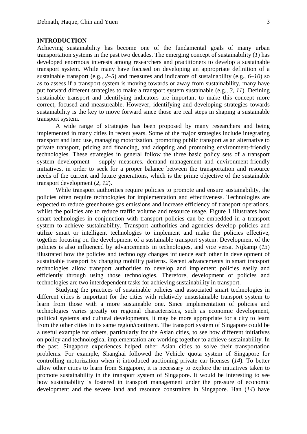#### **INTRODUCTION**

Achieving sustainability has become one of the fundamental goals of many urban transportation systems in the past two decades. The emerging concept of sustainability (*1*) has developed enormous interests among researchers and practitioners to develop a sustainable transport system. While many have focused on developing an appropriate definition of a sustainable transport (e.g., *2–5*) and measures and indicators of sustainability (e.g., *6–10*) so as to assess if a transport system is moving towards or away from sustainability, many have put forward different strategies to make a transport system sustainable (e.g., *3, 11*). Defining sustainable transport and identifying indicators are important to make this concept more correct, focused and measureable. However, identifying and developing strategies towards sustainability is the key to move forward since those are real steps in shaping a sustainable transport system.

A wide range of strategies has been proposed by many researchers and being implemented in many cities in recent years. Some of the major strategies include integrating transport and land use, managing motorization, promoting public transport as an alternative to private transport, pricing and financing, and adopting and promoting environment-friendly technologies. These strategies in general follow the three basic policy sets of a transport system development – supply measures, demand management and environment-friendly initiatives, in order to seek for a proper balance between the transportation and resource needs of the current and future generations, which is the prime objective of the sustainable transport development (*2, 12*).

While transport authorities require policies to promote and ensure sustainability, the policies often require technologies for implementation and effectiveness. Technologies are expected to reduce greenhouse gas emissions and increase efficiency of transport operations, whilst the policies are to reduce traffic volume and resource usage. Figure 1 illustrates how smart technologies in conjunction with transport policies can be embedded in a transport system to achieve sustainability. Transport authorities and agencies develop policies and utilize smart or intelligent technologies to implement and make the policies effective, together focusing on the development of a sustainable transport system. Development of the policies is also influenced by advancements in technologies, and vice versa. Nijkamp (*13*) illustrated how the policies and technology changes influence each other in development of sustainable transport by changing mobility patterns. Recent advancements in smart transport technologies allow transport authorities to develop and implement policies easily and efficiently through using those technologies. Therefore, development of policies and technologies are two interdependent tasks for achieving sustainability in transport.

Studying the practices of sustainable policies and associated smart technologies in different cities is important for the cities with relatively unsustainable transport system to learn from those with a more sustainable one. Since implementation of policies and technologies varies greatly on regional characteristics, such as economic development, political systems and cultural developments, it may be more appropriate for a city to learn from the other cities in its same region/continent. The transport system of Singapore could be a useful example for others, particularly for the Asian cities, to see how different initiatives on policy and technological implementation are working together to achieve sustainability. In the past, Singapore experiences helped other Asian cities to solve their transportation problems. For example, Shanghai followed the Vehicle quota system of Singapore for controlling motorization when it introduced auctioning private car licenses (*14*). To better allow other cities to learn from Singapore, it is necessary to explore the initiatives taken to promote sustainability in the transport system of Singapore. It would be interesting to see how sustainability is fostered in transport management under the pressure of economic development and the severe land and resource constraints in Singapore. Han (*14*) have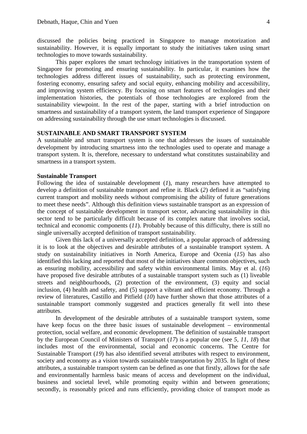discussed the policies being practiced in Singapore to manage motorization and sustainability. However, it is equally important to study the initiatives taken using smart technologies to move towards sustainability.

This paper explores the smart technology initiatives in the transportation system of Singapore for promoting and ensuring sustainability. In particular, it examines how the technologies address different issues of sustainability, such as protecting environment, fostering economy, ensuring safety and social equity, enhancing mobility and accessibility, and improving system efficiency. By focusing on smart features of technologies and their implementation histories, the potentials of those technologies are explored from the sustainability viewpoint. In the rest of the paper, starting with a brief introduction on smartness and sustainability of a transport system, the land transport experience of Singapore on addressing sustainability through the use smart technologies is discussed.

## **SUSTAINABLE AND SMART TRANSPORT SYSTEM**

A sustainable and smart transport system is one that addresses the issues of sustainable development by introducing smartness into the technologies used to operate and manage a transport system. It is, therefore, necessary to understand what constitutes sustainability and smartness in a transport system.

#### **Sustainable Transport**

Following the idea of sustainable development (*1*), many researchers have attempted to develop a definition of sustainable transport and refine it. Black (*2*) defined it as "satisfying current transport and mobility needs without compromising the ability of future generations to meet these needs". Although this definition views sustainable transport as an expression of the concept of sustainable development in transport sector, advancing sustainability in this sector tend to be particularly difficult because of its complex nature that involves social, technical and economic components (*11*). Probably because of this difficulty, there is still no single universally accepted definition of transport sustainability.

Given this lack of a universally accepted definition, a popular approach of addressing it is to look at the objectives and desirable attributes of a sustainable transport system. A study on sustainability initiatives in North America, Europe and Ocenia (*15*) has also identified this lacking and reported that most of the initiatives share common objectives, such as ensuring mobility, accessibility and safety within environmental limits. May et al. (*16*) have proposed five desirable attributes of a sustainable transport system such as (1) liveable streets and neighbourhoods, (2) protection of the environment, (3) equity and social inclusion, (4) health and safety, and (5) support a vibrant and efficient economy. Through a review of literatures, Castillo and Pitfield (*10*) have further shown that those attributes of a sustainable transport commonly suggested and practices generally fit well into these attributes.

In development of the desirable attributes of a sustainable transport system, some have keep focus on the three basic issues of sustainable development – environmental protection, social welfare, and economic development. The definition of sustainable transport by the European Council of Ministers of Transport (*17*) is a popular one (see *5, 11, 18*) that includes most of the environmental, social and economic concerns. The Centre for Sustainable Transport (*19*) has also identified several attributes with respect to environment, society and economy as a vision towards sustainable transportation by 2035. In light of these attributes, a sustainable transport system can be defined as one that firstly, allows for the safe and environmentally harmless basic means of access and development on the individual, business and societal level, while promoting equity within and between generations; secondly, is reasonably priced and runs efficiently, providing choice of transport mode as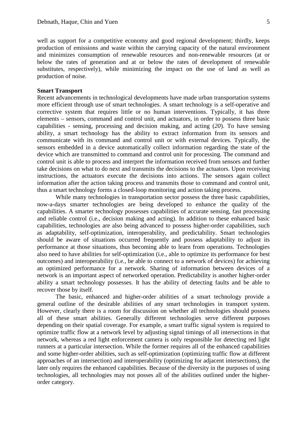well as support for a competitive economy and good regional development; thirdly, keeps production of emissions and waste within the carrying capacity of the natural environment and minimizes consumption of renewable resources and non-renewable resources (at or below the rates of generation and at or below the rates of development of renewable substitutes, respectively), while minimizing the impact on the use of land as well as production of noise.

#### **Smart Transport**

Recent advancements in technological developments have made urban transportation systems more efficient through use of smart technologies. A smart technology is a self-operative and corrective system that requires little or no human interventions. Typically, it has three elements – sensors, command and control unit, and actuators, in order to possess three basic capabilities - sensing, processing and decision making, and acting (*20*). To have sensing ability, a smart technology has the ability to extract information from its sensors and communicate with its command and control unit or with external devices. Typically, the sensors embedded in a device automatically collect information regarding the state of the device which are transmitted to command and control unit for processing. The command and control unit is able to process and interpret the information received from sensors and further take decisions on what to do next and transmits the decisions to the actuators. Upon receiving instructions, the actuators execute the decisions into actions. The sensors again collect information after the action taking process and transmits those to command and control unit, thus a smart technology forms a closed-loop monitoring and action taking process.

While many technologies in transportation sector possess the three basic capabilities, now-a-days smarter technologies are being developed to enhance the quality of the capabilities. A smarter technology possesses capabilities of accurate sensing, fast processing and reliable control (i.e., decision making and acting). In addition to these enhanced basic capabilities, technologies are also being advanced to possess higher-order capabilities, such as adaptability, self-optimization, interoperability, and predictability. Smart technologies should be aware of situations occurred frequently and possess adaptability to adjust its performance at those situations, thus becoming able to learn from operations. Technologies also need to have abilities for self-optimization (i.e., able to optimize its performance for best outcomes) and interoperability (i.e., be able to connect to a network of devices) for achieving an optimized performance for a network. Sharing of information between devices of a network is an important aspect of networked operation. Predictability is another higher-order ability a smart technology possesses. It has the ability of detecting faults and be able to recover those by itself.

The basic, enhanced and higher-order abilities of a smart technology provide a general outline of the desirable abilities of any smart technologies in transport system. However, clearly there is a room for discussion on whether all technologies should possess all of these smart abilities. Generally different technologies serve different purposes depending on their spatial coverage. For example, a smart traffic signal system is required to optimize traffic flow at a network level by adjusting signal timings of all intersections in that network, whereas a red light enforcement camera is only responsible for detecting red light runners at a particular intersection. While the former requires all of the enhanced capabilities and some higher-order abilities, such as self-optimization (optimizing traffic flow at different approaches of an intersection) and interoperability (optimizing for adjacent intersections), the later only requires the enhanced capabilities. Because of the diversity in the purposes of using technologies, all technologies may not posses all of the abilities outlined under the higherorder category.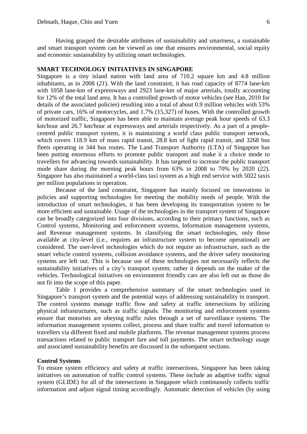Having grasped the desirable attributes of sustainability and smartness, a sustainable and smart transport system can be viewed as one that ensures environmental, social equity and economic sustainability by utilizing smart technologies.

## **SMART TECHNOLOGY INITIATIVES IN SINGAPORE**

Singapore is a tiny island nation with land area of 710.2 square km and 4.8 million inhabitants, as in 2008 (*21*). With the land constraint, it has road capacity of 8774 lane-km with 1058 lane-km of expressways and 2923 lane-km of major arterials, totally accounting for 12% of the total land area. It has a controlled growth of motor vehicles (see Han, 2010 for details of the associated policies) resulting into a total of about 0.9 million vehicles with 53% of private cars, 16% of motorcycles, and 1.7% (15,327) of buses. With the controlled growth of motorized traffic, Singapore has been able to maintain average peak hour speeds of 63.3 km/hour and 26.7 km/hour at expressways and arterials respectively. As a part of a peoplecentred public transport system, it is maintaining a world class public transport network, which covers 118.9 km of mass rapid transit, 28.8 km of light rapid transit, and 3268 bus fleets operating in 344 bus routes. The Land Transport Authority (LTA) of Singapore has been putting enormous efforts to promote public transport and make it a choice mode to travellers for advancing towards sustainability. It has targeted to increase the public transport mode share during the morning peak hours from 63% in 2008 to 70% by 2020 (*22*). Singapore has also maintained a world-class taxi system as a high end service with 5022 taxis per million populations in operation.

Because of the land constraint, Singapore has mainly focused on innovations in policies and supporting technologies for meeting the mobility needs of people. With the introduction of smart technologies, it has been developing its transportation system to be more efficient and sustainable. Usage of the technologies in the transport system of Singapore can be broadly categorized into four divisions, according to their primary functions, such as Control systems, Monitoring and enforcement systems, Information management systems, and Revenue management systems. In classifying the smart technologies, only those available at city-level (i.e., requires an infrastructure system to become operational) are considered. The user-level technologies which do not require an infrastructure, such as the smart vehicle control systems, collision avoidance systems, and the driver safety monitoring systems are left out. This is because use of these technologies not necessarily reflects the sustainability initiatives of a city's transport system; rather it depends on the maker of the vehicles. Technological initiatives on environment friendly cars are also left out as those do not fit into the scope of this paper.

Table 1 provides a comprehensive summary of the smart technologies used in Singapore's transport system and the potential ways of addressing sustainability in transport. The control systems manage traffic flow and safety at traffic intersections by utilizing physical infrastructures, such as traffic signals. The monitoring and enforcement systems ensure that motorists are obeying traffic rules through a set of surveillance systems. The information management systems collect, process and share traffic and travel information to travellers via different fixed and mobile platforms. The revenue management systems process transactions related to public transport fare and toll payments. The smart technology usage and associated sustainability benefits are discussed in the subsequent sections.

#### **Control Systems**

To ensure system efficiency and safety at traffic intersections, Singapore has been taking initiatives on automation of traffic control systems. These include an adaptive traffic signal system (GLIDE) for all of the intersections in Singapore which continuously collects traffic information and adjust signal timing accordingly. Automatic detection of vehicles (by using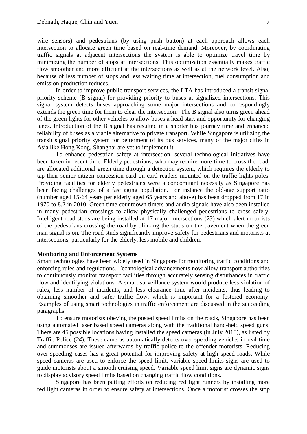wire sensors) and pedestrians (by using push button) at each approach allows each intersection to allocate green time based on real-time demand. Moreover, by coordinating traffic signals at adjacent intersections the system is able to optimize travel time by minimizing the number of stops at intersections. This optimization essentially makes traffic flow smoother and more efficient at the intersections as well as at the network level. Also, because of less number of stops and less waiting time at intersection, fuel consumption and emission production reduces.

In order to improve public transport services, the LTA has introduced a transit signal priority scheme (B signal) for providing priority to buses at signalized intersections. This signal system detects buses approaching some major intersections and correspondingly extends the green time for them to clear the intersection. The B signal also turns green ahead of the green lights for other vehicles to allow buses a head start and opportunity for changing lanes. Introduction of the B signal has resulted in a shorter bus journey time and enhanced reliability of buses as a viable alternative to private transport. While Singapore is utilizing the transit signal priority system for betterment of its bus services, many of the major cities in Asia like Hong Kong, Shanghai are yet to implement it.

To enhance pedestrian safety at intersection, several technological initiatives have been taken in recent time. Elderly pedestrians, who may require more time to cross the road, are allocated additional green time through a detection system, which requires the elderly to tap their senior citizen concession card on card readers mounted on the traffic lights poles. Providing facilities for elderly pedestrians were a concomitant necessity as Singapore has been facing challenges of a fast aging population. For instance the old-age support ratio (number aged 15-64 years per elderly aged 65 years and above) has been dropped from 17 in 1970 to 8.2 in 2010. Green time countdown timers and audio signals have also been installed in many pedestrian crossings to allow physically challenged pedestrians to cross safely. Intelligent road studs are being installed at 17 major intersections (*23*) which alert motorists of the pedestrians crossing the road by blinking the studs on the pavement when the green man signal is on. The road studs significantly improve safety for pedestrians and motorists at intersections, particularly for the elderly, less mobile and children.

## **Monitoring and Enforcement Systems**

Smart technologies have been widely used in Singapore for monitoring traffic conditions and enforcing rules and regulations. Technological advancements now allow transport authorities to continuously monitor transport facilities through accurately sensing disturbances in traffic flow and identifying violations. A smart surveillance system would produce less violation of rules, less number of incidents, and less clearance time after incidents, thus leading to obtaining smoother and safer traffic flow, which is important for a fostered economy. Examples of using smart technologies in traffic enforcement are discussed in the succeeding paragraphs.

To ensure motorists obeying the posted speed limits on the roads, Singapore has been using automated laser based speed cameras along with the traditional hand-held speed guns. There are 45 possible locations having installed the speed cameras (in July 2010), as listed by Traffic Police (*24*). These cameras automatically detects over-speeding vehicles in real-time and summonses are issued afterwards by traffic police to the offender motorists. Reducing over-speeding cases has a great potential for improving safety at high speed roads. While speed cameras are used to enforce the speed limit, variable speed limits signs are used to guide motorists about a smooth cruising speed. Variable speed limit signs are dynamic signs to display advisory speed limits based on changing traffic flow conditions.

Singapore has been putting efforts on reducing red light runners by installing more red light cameras in order to ensure safety at intersections. Once a motorist crosses the stop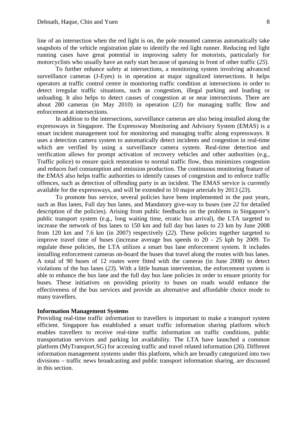line of an intersection when the red light is on, the pole mounted cameras automatically take snapshots of the vehicle registration plate to identify the red light runner. Reducing red light running cases have great potential in improving safety for motorists, particularly for motorcyclists who usually have an early start because of queuing in front of other traffic (*25*).

To further enhance safety at intersections, a monitoring system involving advanced surveillance cameras (J-Eyes) is in operation at major signalized intersections. It helps operators at traffic control centre in monitoring traffic condition at intersections in order to detect irregular traffic situations, such as congestion, illegal parking and loading or unloading. It also helps to detect causes of congestion at or near intersections. There are about 280 cameras (in May 2010) in operation (*23*) for managing traffic flow and enforcement at intersections.

In addition to the intersections, surveillance cameras are also being installed along the expressways in Singapore. The Expressway Monitoring and Advisory System (EMAS) is a smart incident management tool for monitoring and managing traffic along expressways. It uses a detection camera system to automatically detect incidents and congestion in real-time which are verified by using a surveillance camera system. Real-time detection and verification allows for prompt activation of recovery vehicles and other authorities (e.g., Traffic police) to ensure quick restoration to normal traffic flow, thus minimizes congestion and reduces fuel consumption and emission production. The continuous monitoring feature of the EMAS also helps traffic authorities to identify causes of congestion and to enforce traffic offences, such as detection of offending party in an incident. The EMAS service is currently available for the expressways, and will be extended to 10 major arterials by 2013 (*23*).

To promote bus service, several policies have been implemented in the past years, such as Bus lanes, Full day bus lanes, and Mandatory give-way to buses (see *22* for detailed description of the policies). Arising from public feedbacks on the problems in Singapore's public transport system (e.g., long waiting time, erratic bus arrival), the LTA targeted to increase the network of bus lanes to 150 km and full day bus lanes to 23 km by June 2008 from 120 km and 7.6 km (in 2007) respectively (*22*). These policies together targeted to improve travel time of buses (increase average bus speeds to 20 - 25 kph by 2009. To regulate these policies, the LTA utilizes a smart bus lane enforcement system. It includes installing enforcement cameras on-board the buses that travel along the routes with bus lanes. A total of 90 buses of 12 routes were fitted with the cameras (in June 2008) to detect violations of the bus lanes (*23*). With a little human intervention, the enforcement system is able to enhance the bus lane and the full day bus lane policies in order to ensure priority for buses. These initiatives on providing priority to buses on roads would enhance the effectiveness of the bus services and provide an alternative and affordable choice mode to many travellers.

## **Information Management Systems**

Providing real-time traffic information to travellers is important to make a transport system efficient. Singapore has established a smart traffic information sharing platform which enables travellers to receive real-time traffic information on traffic conditions, public transportation services and parking lot availability. The LTA have launched a common platform (MyTransport.SG) for accessing traffic and travel related information (*26*). Different information management systems under this platform, which are broadly categorized into two divisions – traffic news broadcasting and public transport information sharing, are discussed in this section.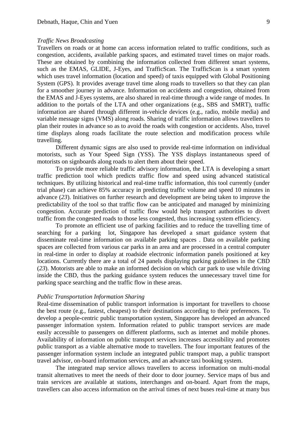#### *Traffic News Broadcasting*

Travellers on roads or at home can access information related to traffic conditions, such as congestion, accidents, available parking spaces, and estimated travel times on major roads. These are obtained by combining the information collected from different smart systems, such as the EMAS, GLIDE, J-Eyes, and TrafficScan. The TrafficScan is a smart system which uses travel information (location and speed) of taxis equipped with Global Positioning System (GPS). It provides average travel time along roads to travellers so that they can plan for a smoother journey in advance. Information on accidents and congestion, obtained from the EMAS and J-Eyes systems, are also shared in real-time through a wide range of modes. In addition to the portals of the LTA and other organizations (e.g., SBS and SMRT), traffic information are shared through different in-vehicle devices (e.g., radio, mobile media) and variable message signs (VMS) along roads. Sharing of traffic information allows travellers to plan their routes in advance so as to avoid the roads with congestion or accidents. Also, travel time displays along roads facilitate the route selection and modification process while travelling.

Different dynamic signs are also used to provide real-time information on individual motorists, such as Your Speed Sign (YSS). The YSS displays instantaneous speed of motorists on signboards along roads to alert them about their speed.

To provide more reliable traffic advisory information, the LTA is developing a smart traffic prediction tool which predicts traffic flow and speed using advanced statistical techniques. By utilizing historical and real-time traffic information, this tool currently (under trial phase) can achieve 85% accuracy in predicting traffic volume and speed 10 minutes in advance (*23*). Initiatives on further research and development are being taken to improve the predictability of the tool so that traffic flow can be anticipated and managed by minimizing congestion. Accurate prediction of traffic flow would help transport authorities to divert traffic from the congested roads to those less congested, thus increasing system efficiency.

To promote an efficient use of parking facilities and to reduce the travelling time of searching for a parking lot, Singapore has developed a smart guidance system that disseminate real-time information on available parking spaces . Data on available parking spaces are collected from various car parks in an area and are processed in a central computer in real-time in order to display at roadside electronic information panels positioned at key locations. Currently there are a total of 24 panels displaying parking guidelines in the CBD (*23*). Motorists are able to make an informed decision on which car park to use while driving inside the CBD, thus the parking guidance system reduces the unnecessary travel time for parking space searching and the traffic flow in these areas.

### *Public Transportation Information Sharing*

Real-time dissemination of public transport information is important for travellers to choose the best route (e.g., fastest, cheapest) to their destinations according to their preferences. To develop a people-centric public transportation system, Singapore has developed an advanced passenger information system. Information related to public transport services are made easily accessible to passengers on different platforms, such as internet and mobile phones. Availability of information on public transport services increases accessibility and promotes public transport as a viable alternative mode to travellers. The four important features of the passenger information system include an integrated public transport map, a public transport travel advisor, on-board information services, and an advance taxi booking system.

The integrated map service allows travellers to access information on multi-modal transit alternatives to meet the needs of their door to door journey. Service maps of bus and train services are available at stations, interchanges and on-board. Apart from the maps, travellers can also access information on the arrival times of next buses real-time at many bus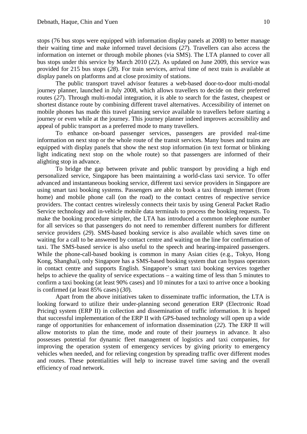stops (76 bus stops were equipped with information display panels at 2008) to better manage their waiting time and make informed travel decisions (*27*). Travellers can also access the information on internet or through mobile phones (via SMS). The LTA planned to cover all bus stops under this service by March 2010 (*22*). As updated on June 2009, this service was provided for 215 bus stops (*28*). For train services, arrival time of next train is available at display panels on platforms and at close proximity of stations.

The public transport travel advisor features a web-based door-to-door multi-modal journey planner, launched in July 2008, which allows travellers to decide on their preferred routes (*27*). Through multi-modal integration, it is able to search for the fastest, cheapest or shortest distance route by combining different travel alternatives. Accessibility of internet on mobile phones has made this travel planning service available to travellers before starting a journey or even while at the journey. This journey planner indeed improves accessibility and appeal of public transport as a preferred mode to many travellers.

To enhance on-board passenger services, passengers are provided real-time information on next stop or the whole route of the transit services. Many buses and trains are equipped with display panels that show the next stop information (in text format or blinking light indicating next stop on the whole route) so that passengers are informed of their alighting stop in advance.

To bridge the gap between private and public transport by providing a high end personalized service, Singapore has been maintaining a world-class taxi service. To offer advanced and instantaneous booking service, different taxi service providers in Singapore are using smart taxi booking systems. Passengers are able to book a taxi through internet (from home) and mobile phone call (on the road) to the contact centres of respective service providers. The contact centres wirelessly connects their taxis by using General Packet Radio Service technology and in-vehicle mobile data terminals to process the booking requests. To make the booking procedure simpler, the LTA has introduced a common telephone number for all services so that passengers do not need to remember different numbers for different service providers (*29*). SMS-based booking service is also available which saves time on waiting for a call to be answered by contact centre and waiting on the line for confirmation of taxi. The SMS-based service is also useful to the speech and hearing-impaired passengers. While the phone-call-based booking is common in many Asian cities (e.g., Tokyo, Hong Kong, Shanghai), only Singapore has a SMS-based booking system that can bypass operators in contact centre and supports English. Singapore's smart taxi booking services together helps to achieve the quality of service expectations – a waiting time of less than 5 minutes to confirm a taxi booking (at least 90% cases) and 10 minutes for a taxi to arrive once a booking is confirmed (at least 85% cases) (*30*).

Apart from the above initiatives taken to disseminate traffic information, the LTA is looking forward to utilize their under-planning second generation ERP (Electronic Road Pricing) system (ERP II) in collection and dissemination of traffic information. It is hoped that successful implementation of the ERP II with GPS-based technology will open up a wide range of opportunities for enhancement of information dissemination (*22*). The ERP II will allow motorists to plan the time, mode and route of their journeys in advance. It also possesses potential for dynamic fleet management of logistics and taxi companies, for improving the operation system of emergency services by giving priority to emergency vehicles when needed, and for relieving congestion by spreading traffic over different modes and routes. These potentialities will help to increase travel time saving and the overall efficiency of road network.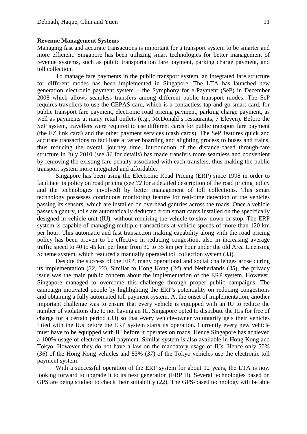#### **Revenue Management Systems**

Managing fast and accurate transactions is important for a transport system to be smarter and more efficient. Singapore has been utilizing smart technologies for better management of revenue systems, such as public transportation fare payment, parking charge payment, and toll collection.

To manage fare payments in the public transport system, an integrated fare structure for different modes has been implemented in Singapore. The LTA has launched new generation electronic payment system – the Symphony for e-Payment (SeP) in December 2008 which allows seamless transfers among different public transport modes. The SeP requires travellers to use the CEPAS card, which is a contactless tap-and-go smart card, for public transport fare payment, electronic road pricing payment, parking charge payment, as well as payments at many retail outlets (e.g., McDonald's restaurants, 7 Eleven). Before the SeP system, travellers were required to use different cards for public transport fare payment (the EZ link card) and the other payment services (cash cards). The SeP features quick and accurate transactions to facilitate a faster boarding and alighting process to buses and trains, thus reducing the overall journey time. Introduction of the distance-based through-fare structure in July 2010 (see *31* for details) has made transfers more seamless and convenient by removing the existing fare penalty associated with each transfers, thus making the public transport system more integrated and affordable.

Singapore has been using the Electronic Road Pricing (ERP) since 1998 in order to facilitate its policy on road pricing (see *32* for a detailed description of the road pricing policy and the technologies involved) by better management of toll collections. This smart technology possesses continuous monitoring feature for real-time detection of the vehicles passing its sensors, which are installed on overhead gantries across the roads. Once a vehicle passes a gantry, tolls are automatically deducted from smart cards installed on the specifically designed in-vehicle unit (IU), without requiring the vehicle to slow down or stop. The ERP system is capable of managing multiple transactions at vehicle speeds of more than 120 km per hour. This automatic and fast transaction making capability along with the road pricing policy has been proven to be effective in reducing congestion, also in increasing average traffic speed to 40 to 45 km per hour from 30 to 35 km per hour under the old Area Licensing Scheme system, which featured a manually operated toll collection system (*33*).

Despite the success of the ERP, many operational and social challenges arose during its implementation (*32*, *33*). Similar to Hong Kong (*34*) and Netherlands (*35*), the privacy issue was the main public concern about the implementation of the ERP system. However, Singapore managed to overcome this challenge through proper public campaigns. The campaign motivated people by highlighting the ERP's potentiality on reducing congestions and obtaining a fully automated toll payment system. At the onset of implementation, another important challenge was to ensure that every vehicle is equipped with an IU to reduce the number of violations due to not having an IU. Singapore opted to distribute the IUs for free of charge for a certain period (*33*) so that every vehicle-owner voluntarily gets their vehicles fitted with the IUs before the ERP system starts its operation. Currently every new vehicle must have to be equipped with IU before it operates on roads. Hence Singapore has achieved a 100% usage of electronic toll payment. Similar system is also available in Hong Kong and Tokyo. However they do not have a law on the mandatory usage of IUs. Hence only 50% (*36*) of the Hong Kong vehicles and 83% (*37*) of the Tokyo vehicles use the electronic toll payment system.

With a successful operation of the ERP system for about 12 years, the LTA is now looking forward to upgrade it to its next generation (ERP II). Several technologies based on GPS are being studied to check their suitability (*22*). The GPS-based technology will be able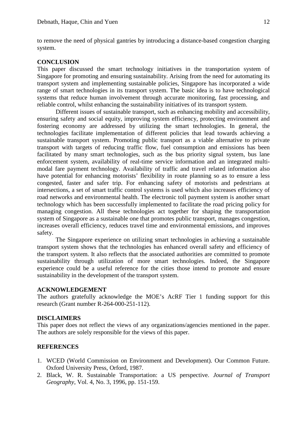to remove the need of physical gantries by introducing a distance-based congestion charging system.

# **CONCLUSION**

This paper discussed the smart technology initiatives in the transportation system of Singapore for promoting and ensuring sustainability. Arising from the need for automating its transport system and implementing sustainable policies, Singapore has incorporated a wide range of smart technologies in its transport system. The basic idea is to have technological systems that reduce human involvement through accurate monitoring, fast processing, and reliable control, whilst enhancing the sustainability initiatives of its transport system.

Different issues of sustainable transport, such as enhancing mobility and accessibility, ensuring safety and social equity, improving system efficiency, protecting environment and fostering economy are addressed by utilizing the smart technologies. In general, the technologies facilitate implementation of different policies that lead towards achieving a sustainable transport system. Promoting public transport as a viable alternative to private transport with targets of reducing traffic flow, fuel consumption and emissions has been facilitated by many smart technologies, such as the bus priority signal system, bus lane enforcement system, availability of real-time service information and an integrated multimodal fare payment technology. Availability of traffic and travel related information also have potential for enhancing motorists' flexibility in route planning so as to ensure a less congested, faster and safer trip. For enhancing safety of motorists and pedestrians at intersections, a set of smart traffic control systems is used which also increases efficiency of road networks and environmental health. The electronic toll payment system is another smart technology which has been successfully implemented to facilitate the road pricing policy for managing congestion. All these technologies act together for shaping the transportation system of Singapore as a sustainable one that promotes public transport, manages congestion, increases overall efficiency, reduces travel time and environmental emissions, and improves safety.

The Singapore experience on utilizing smart technologies in achieving a sustainable transport system shows that the technologies has enhanced overall safety and efficiency of the transport system. It also reflects that the associated authorities are committed to promote sustainability through utilization of more smart technologies. Indeed, the Singapore experience could be a useful reference for the cities those intend to promote and ensure sustainability in the development of the transport system.

### **ACKNOWLEDGEMENT**

The authors gratefully acknowledge the MOE's AcRF Tier 1 funding support for this research (Grant number R-264-000-251-112).

## **DISCLAIMERS**

This paper does not reflect the views of any organizations/agencies mentioned in the paper. The authors are solely responsible for the views of this paper.

# **REFERENCES**

- 1. WCED (World Commission on Environment and Development). Our Common Future. Oxford University Press, Orford, 1987.
- 2. Black, W. R. Sustainable Transportation: a US perspective. *Journal of Transport Geography*, Vol. 4, No. 3, 1996, pp. 151-159.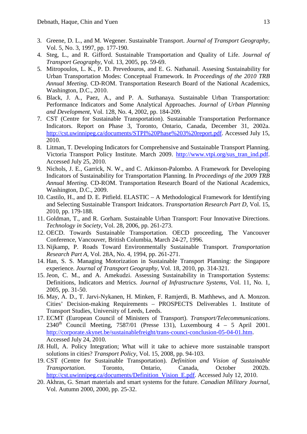- 3. Greene, D. L., and M. Wegener. Sustainable Transport. *Journal of Transport Geography*, Vol. 5, No. 3, 1997, pp. 177-190.
- 4. Steg, L., and R. Gifford. Sustainable Transportation and Quality of Life. *Journal of Transport Geography*, Vol. 13, 2005, pp. 59-69.
- 5. Mitropoulos, L. K., P. D. Prevedouros, and E. G. Nathanail. Assesing Sustainability for Urban Transportation Modes: Conceptual Framework. In *Proceedings of the 2010 TRB Annual Meeting*. CD-ROM. Transportation Research Board of the National Academics, Washington, D.C., 2010.
- 6. Black, J. A., Paez, A., and P. A. Suthanaya. Sustainable Urban Transportation: Performance Indicators and Some Analytical Approaches. *Journal of Urban Planning and Development*, Vol. 128, No. 4, 2002, pp. 184-209.
- 7. CST (Centre for Sustainable Transportation). Sustainable Transportation Performance Indicators. Report on Phase 3, Toronto, Ontario, Canada, December 31, 2002a. [http://cst.uwinnipeg.ca/documents/STPI%20Phase%203%20report.pdf.](http://cst.uwinnipeg.ca/documents/STPI%20Phase%203%20report.pdf) Accessed July 15, 2010.
- 8. Litman, T. Developing Indicators for Comprehensive and Sustainable Transport Planning. Victoria Transport Policy Institute. March 2009. [http://www.vtpi.org/sus\\_tran\\_ind.pdf.](http://www.vtpi.org/sus_tran_ind.pdf) Accessed July 25, 2010.
- 9. Nichols, J. E., Garrick, N. W., and C. Atkinson-Palombo. A Framework for Developing Indicators of Sustainability for Transportation Planning. In *Proceedings of the 2009 TRB Annual Meeting*. CD-ROM. Transportation Research Board of the National Academics, Washington, D.C., 2009.
- 10. Castilo, H., and D. E. Pitfield. ELASTIC A Methodological Framework for Identifying and Selecting Sustainable Transport Inidcators. *Transportation Research Part D*, Vol. 15, 2010, pp. 179-188.
- 11. Goldman, T., and R. Gorham. Sustainable Urban Transport: Four Innovative Directions. *Technology in Society*, Vol. 28, 2006, pp. 261-273.
- 12. OECD. Towards Sustainable Transportation. OECD proceeding, The Vancouver Conference, Vancouver, British Columbia, March 24-27, 1996.
- 13. Nijkamp, P. Roads Toward Environmentally Sustainable Transport. *Transportation Research Part A*, Vol. 28A, No. 4, 1994, pp. 261-271.
- 14. Han, S. S. Managing Motorization in Sustainable Transport Planning: the Singapore experience. *Journal of Transport Geography*, Vol. 18, 2010, pp. 314-321.
- 15. Jeon, C. M., and A. Amekudzi. Assessing Sustainability in Transportation Systems: Definitions, Indicators and Metrics. *Journal of Infrastructure Systems*, Vol. 11, No. 1, 2005, pp. 31-50.
- 16. May, A. D., T. Jarvi-Nykanen, H. Minken, F. Ramjerdi, B. Mathhews, and A. Monzon. Cities' Decision-making Requirements – PROSPECTS Deliverables 1. Institute of Transport Studies, University of Leeds, Leeds.
- 17. ECMT (European Council of Ministers of Transport). *Transport/Telecommunications*.  $2340<sup>th</sup>$  Council Meeting, 7587/01 (Presse 131), Luxembourg 4 – 5 April 2001. [http://corporate.skynet.be/sustainablefreight/trans-counci-conclusion-05-04-01.htm.](http://corporate.skynet.be/sustainablefreight/trans-counci-conclusion-05-04-01.htm) Accessed July 24, 2010.
- *18.* Hull, A. Policy Integration; What will it take to achieve more sustainable transport solutions in cities? *Transport Policy*, Vol. 15, 2008, pp. 94-103.
- 19. CST (Centre for Sustainable Transportation). *Definition and Vision of Sustainable Transportation*. Toronto, Ontario, Canada, October 2002b. [http://cst.uwinnipeg.ca/documents/Definition\\_Vision\\_E.pdf.](http://cst.uwinnipeg.ca/documents/Definition_Vision_E.pdf%3e) Accessed July 12, 2010.
- 20. Akhras, G. Smart materials and smart systems for the future. *Canadian Military Journal*, Vol. Autumn 2000, 2000, pp. 25-32.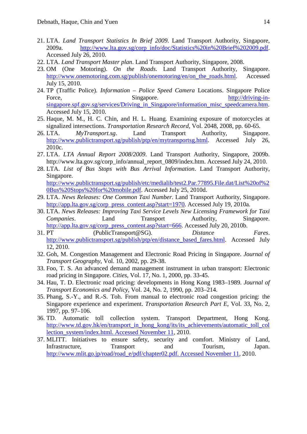- 21. LTA. *Land Transport Statistics In Brief 2009*. Land Transport Authority, Singapore, 2009a. [http://www.lta.gov.sg/corp\\_info/doc/Statistics%20in%20Brief%202009.pdf.](http://www.lta.gov.sg/corp_info/doc/Statistics%20in%20Brief%202009.pdf) Accessed July 26, 2010.
- 22. LTA. *Land Transport Master plan*. Land Transport Authority, Singapore, 2008.
- 23. OM (One Motoring). *On the Roads*. Land Transport Authority, Singapore. [http://www.onemotoring.com.sg/publish/onemotoring/en/on\\_the\\_roads.html.](http://www.onemotoring.com.sg/publish/onemotoring/en/on_the_roads.html) Accessed July 15, 2010.
- 24. TP (Traffic Police). *Information – Police Speed Camera* Locations. Singapore Police Force, Singapore. Singapore. [http://driving-in](http://driving-in-singapore.spf.gov.sg/services/Driving_in_Singapore/information_misc_speedcamera.htm)singapore.spf.gov.sg/services/Driving in Singapore/information misc speedcamera.htm. Accessed July 15, 2010.
- 25. Haque, M. M., H. C. Chin, and H. L. Huang. Examining exposure of motorcycles at signalized intersections. *Transportation Research Record,* Vol. 2048, 2008, pp. 60-65.
- 26. LTA. *MyTransport.sg*. Land Transport Authority, Singapore. [http://www.publictransport.sg/publish/ptp/en/mytransportsg.html.](http://www.publictransport.sg/publish/ptp/en/mytransportsg.html) Accessed July 26, 2010c.
- 27. LTA. *LTA Annual Report 2008/2009*. Land Transport Authority, Singapore, 2009b. http://www.lta.gov.sg/corp\_info/annual\_report\_0809/index.htm. Accessed July 24, 2010.
- 28. LTA. *List of Bus Stops with Bus Arrival Information*. Land Transport Authority, Singapore.

[http://www.publictransport.sg/publish/etc/medialib/test2.Par.77895.File.dat/List%20of%2](http://www.publictransport.sg/publish/etc/medialib/test2.Par.77895.File.dat/List%20of%20Bus%20Stops%20for%20mobile.pdf) [0Bus%20Stops%20for%20mobile.pdf.](http://www.publictransport.sg/publish/etc/medialib/test2.Par.77895.File.dat/List%20of%20Bus%20Stops%20for%20mobile.pdf) Accessed July 25, 2010d.

- 29. LTA. *News Releases: One Common Taxi Number*. Land Transport Authority, Singapore. [http://app.lta.gov.sg/corp\\_press\\_content.asp?start=1970.](http://app.lta.gov.sg/corp_press_content.asp?start=1970) Accessed July 19, 2010a.
- 30. LTA. *News Releases: Improving Taxi Service Levels New Licensing Framework for Taxi Companies.* Land Transport Authority, Singapore. [http://app.lta.gov.sg/corp\\_press\\_content.asp?start=666.](http://app.lta.gov.sg/corp_press_content.asp?start=666) Accessed July 20, 2010b.
- 31. PT (PublicTransport@SG). *Distance Fares*. [http://www.publictransport.sg/publish/ptp/en/distance\\_based\\_fares.html.](http://www.publictransport.sg/publish/ptp/en/distance_based_fares.html) Accessed July 12, 2010.
- 32. Goh, M. Congestion Management and Electronic Road Pricing in Singapore. *Journal of Transport Geography*, Vol. 10, 2002, pp. 29-38.
- 33. Foo, T. S. An advanced demand management instrument in urban transport: Electronic road pricing in Singapore. *Cities*, Vol. 17, No. 1, 2000, pp. 33-45.
- 34. Hau, T. D. Electronic road pricing: developments in Hong Kong 1983–1989. *Journal of Transport Economics and Policy*, Vol. 24, No. 2, 1990, pp. 203–214.
- 35. Phang, S.-Y., and R.-S. Toh. From manual to electronic road congestion pricing: the Singapore experience and experiment. *Transportation Research Part E*, Vol. 33, No. 2, 1997, pp. 97–106.
- 36. TD. Automatic toll collection system. Transport Department, Hong Kong. [http://www.td.gov.hk/en/transport\\_in\\_hong\\_kong/its/its\\_achievements/automatic\\_toll\\_col](http://www.td.gov.hk/en/transport_in_hong_kong/its/its_achievements/automatic_toll_collection_system/index.html.%20Accessed%20November%2011) [lection\\_system/index.html. Accessed November 11,](http://www.td.gov.hk/en/transport_in_hong_kong/its/its_achievements/automatic_toll_collection_system/index.html.%20Accessed%20November%2011) 2010.
- 37. MLITT. Initiatives to ensure safety, security and comfort. Ministry of Land, Infrastructure, Transport and Tourism, Japan. [http://www.mlit.go.jp/road/road\\_e/pdf/chapter02.pdf. Accessed November 11,](http://www.mlit.go.jp/road/road_e/pdf/chapter02.pdf.%20Accessed%20November%2011) 2010.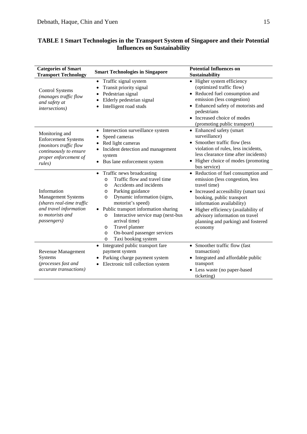| <b>Categories of Smart</b><br><b>Transport Technology</b>                                                                                  | <b>Smart Technologies in Singapore</b>                                                                                                                                                                                                                                                                                                                                                                                            | <b>Potential Influences on</b><br><b>Sustainability</b>                                                                                                                                                                                                                                                              |
|--------------------------------------------------------------------------------------------------------------------------------------------|-----------------------------------------------------------------------------------------------------------------------------------------------------------------------------------------------------------------------------------------------------------------------------------------------------------------------------------------------------------------------------------------------------------------------------------|----------------------------------------------------------------------------------------------------------------------------------------------------------------------------------------------------------------------------------------------------------------------------------------------------------------------|
| <b>Control Systems</b><br>(manages traffic flow<br>and safety at<br><i>intersections</i> )                                                 | Traffic signal system<br>$\bullet$<br>Transit priority signal<br>Pedestrian signal<br>Elderly pedestrian signal<br>Intelligent road studs                                                                                                                                                                                                                                                                                         | • Higher system efficiency<br>(optimized traffic flow)<br>• Reduced fuel consumption and<br>emission (less congestion)<br>• Enhanced safety of motorists and<br>pedestrians<br>• Increased choice of modes<br>(promoting public transport)                                                                           |
| Monitoring and<br><b>Enforcement Systems</b><br>(monitors traffic flow<br>continuously to ensure<br>proper enforcement of<br>rules)        | Intersection surveillance system<br>$\bullet$<br>Speed cameras<br>Red light cameras<br>Incident detection and management<br>system<br>Bus lane enforcement system                                                                                                                                                                                                                                                                 | • Enhanced safety (smart<br>surveillance)<br>• Smoother traffic flow (less<br>violation of rules, less incidents,<br>less clearance time after incidents)<br>• Higher choice of modes (promoting<br>bus service)                                                                                                     |
| Information<br><b>Management Systems</b><br>(shares real-time traffic<br>and travel information<br>to motorists and<br><i>passengers</i> ) | Traffic news broadcasting<br>$\bullet$<br>Traffic flow and travel time<br>$\circ$<br>Accidents and incidents<br>O<br>Parking guidance<br>$\circ$<br>Dynamic information (signs,<br>$\circ$<br>motorist's speed)<br>Public transport information sharing<br>Interactive service map (next-bus<br>$\circ$<br>arrival time)<br>Travel planner<br>$\circ$<br>On-board passenger services<br>$\circ$<br>Taxi booking system<br>$\circ$ | • Reduction of fuel consumption and<br>emission (less congestion, less<br>travel time)<br>• Increased accessibility (smart taxi<br>booking, public transport<br>information availability)<br>• Higher efficiency (availability of<br>advisory information on travel<br>planning and parking) and fostered<br>economy |
| <b>Revenue Management</b><br>Systems<br>(processes fast and<br>accurate transactions)                                                      | Integrated public transport fare<br>$\bullet$<br>payment system<br>Parking charge payment system<br>Electronic toll collection system                                                                                                                                                                                                                                                                                             | • Smoother traffic flow (fast<br>transaction)<br>• Integrated and affordable public<br>transport<br>• Less waste (no paper-based<br>ticketing)                                                                                                                                                                       |

# **TABLE 1 Smart Technologies in the Transport System of Singapore and their Potential Influences on Sustainability**